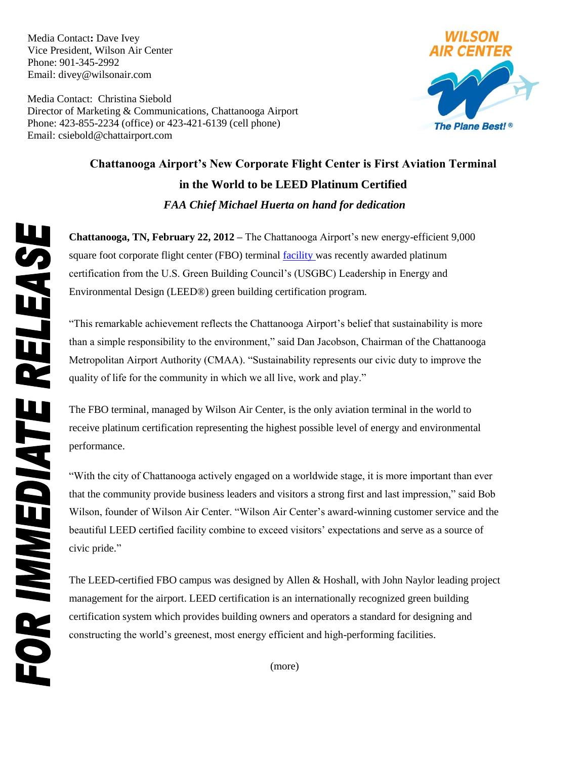Media Contact**:** Dave Ivey Vice President, Wilson Air Center Phone: 901-345-2992 Email: divey@wilsonair.com

Media Contact:Christina Siebold Director of Marketing & Communications, Chattanooga Airport Phone: 423-855-2234 (office) or 423-421-6139 (cell phone) Email: csiebold@chattairport.com



## **Chattanooga Airport's New Corporate Flight Center is First Aviation Terminal in the World to be LEED Platinum Certified** *FAA Chief Michael Huerta on hand for dedication*

**Chattanooga, TN, February 22, 2012 –** The Chattanooga Airport's new energy-efficient 9,000 square foot corporate flight center (FBO) terminal [facility w](http://thinkblue.vw.com/vw-chattanooga-infographic/)as recently awarded platinum certification from the U.S. Green Building Council's (USGBC) Leadership in Energy and Environmental Design (LEED®) green building certification program.

"This remarkable achievement reflects the Chattanooga Airport's belief that sustainability is more than a simple responsibility to the environment," said Dan Jacobson, Chairman of the Chattanooga Metropolitan Airport Authority (CMAA). "Sustainability represents our civic duty to improve the quality of life for the community in which we all live, work and play."

The FBO terminal, managed by Wilson Air Center, is the only aviation terminal in the world to receive platinum certification representing the highest possible level of energy and environmental performance.

"With the city of Chattanooga actively engaged on a worldwide stage, it is more important than ever that the community provide business leaders and visitors a strong first and last impression," said Bob Wilson, founder of Wilson Air Center. "Wilson Air Center's award-winning customer service and the beautiful LEED certified facility combine to exceed visitors' expectations and serve as a source of civic pride."

The LEED-certified FBO campus was designed by Allen & Hoshall, with John Naylor leading project management for the airport. LEED certification is an internationally recognized green building certification system which provides building owners and operators a standard for designing and constructing the world's greenest, most energy efficient and high-performing facilities.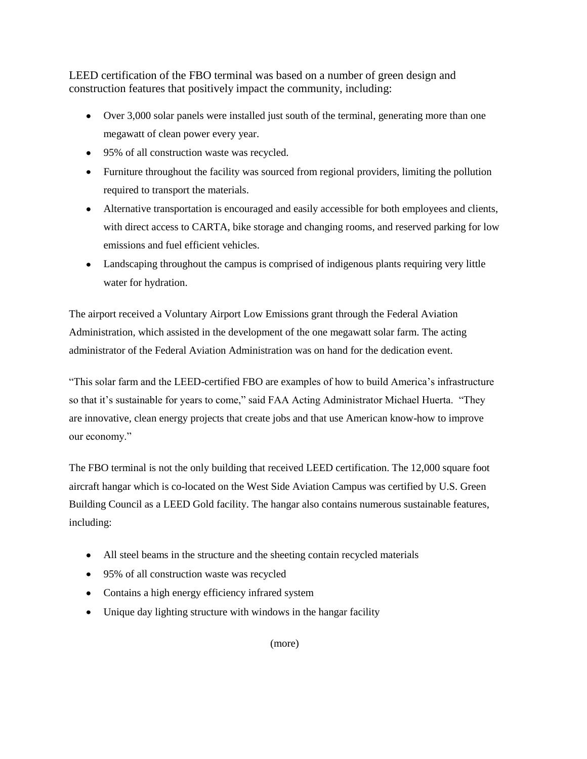LEED certification of the FBO terminal was based on a number of green design and construction features that positively impact the community, including:

- Over 3,000 solar panels were installed just south of the terminal, generating more than one megawatt of clean power every year.
- 95% of all construction waste was recycled.
- Furniture throughout the facility was sourced from regional providers, limiting the pollution required to transport the materials.
- Alternative transportation is encouraged and easily accessible for both employees and clients, with direct access to CARTA, bike storage and changing rooms, and reserved parking for low emissions and fuel efficient vehicles.
- Landscaping throughout the campus is comprised of indigenous plants requiring very little water for hydration.

The airport received a Voluntary Airport Low Emissions grant through the Federal Aviation Administration, which assisted in the development of the one megawatt solar farm. The acting administrator of the Federal Aviation Administration was on hand for the dedication event.

"This solar farm and the LEED-certified FBO are examples of how to build America's infrastructure so that it's sustainable for years to come," said FAA Acting Administrator Michael Huerta. "They are innovative, clean energy projects that create jobs and that use American know-how to improve our economy."

The FBO terminal is not the only building that received LEED certification. The 12,000 square foot aircraft hangar which is co-located on the West Side Aviation Campus was certified by U.S. Green Building Council as a LEED Gold facility. The hangar also contains numerous sustainable features, including:

- All steel beams in the structure and the sheeting contain recycled materials
- 95% of all construction waste was recycled
- Contains a high energy efficiency infrared system
- Unique day lighting structure with windows in the hangar facility

(more)